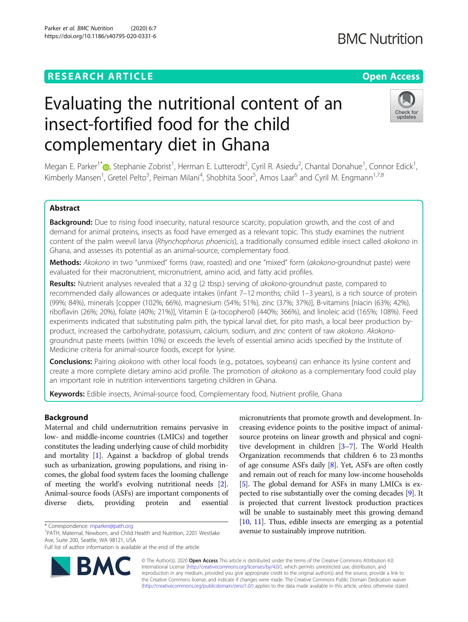# Evaluating the nutritional content of an insect-fortified food for the child complementary diet in Ghana

Megan E. Parker<sup>1\*</sup>®, Stephanie Zobrist<sup>1</sup>, Herman E. Lutterodt<sup>2</sup>, Cyril R. Asiedu<sup>2</sup>, Chantal Donahue<sup>1</sup>, Connor Edick<sup>1</sup> , Kimberly Mansen<sup>1</sup>, Gretel Pelto<sup>3</sup>, Peiman Milani<sup>4</sup>, Shobhita Soor<sup>5</sup>, Amos Laar<sup>6</sup> and Cyril M. Engmann<sup>1,7,8</sup>

# Abstract

Background: Due to rising food insecurity, natural resource scarcity, population growth, and the cost of and demand for animal proteins, insects as food have emerged as a relevant topic. This study examines the nutrient content of the palm weevil larva (Rhynchophorus phoenicis), a traditionally consumed edible insect called akokono in Ghana, and assesses its potential as an animal-source, complementary food.

Methods: Akokono in two "unmixed" forms (raw, roasted) and one "mixed" form (akokono-groundnut paste) were evaluated for their macronutrient, micronutrient, amino acid, and fatty acid profiles.

**Results:** Nutrient analyses revealed that a 32 g (2 tbsp.) serving of *akokono*-groundnut paste, compared to recommended daily allowances or adequate intakes (infant 7–12 months; child 1–3 years), is a rich source of protein (99%; 84%), minerals [copper (102%; 66%), magnesium (54%; 51%), zinc (37%; 37%)], B-vitamins [niacin (63%; 42%), riboflavin (26%; 20%), folate (40%; 21%)], Vitamin E (a-tocopherol) (440%; 366%), and linoleic acid (165%; 108%). Feed experiments indicated that substituting palm pith, the typical larval diet, for pito mash, a local beer production byproduct, increased the carbohydrate, potassium, calcium, sodium, and zinc content of raw akokono. Akokonogroundnut paste meets (within 10%) or exceeds the levels of essential amino acids specified by the Institute of Medicine criteria for animal-source foods, except for lysine.

**Conclusions:** Pairing akokono with other local foods (e.g., potatoes, soybeans) can enhance its lysine content and create a more complete dietary amino acid profile. The promotion of akokono as a complementary food could play an important role in nutrition interventions targeting children in Ghana.

Keywords: Edible insects, Animal-source food, Complementary food, Nutrient profile, Ghana

## Background

Maternal and child undernutrition remains pervasive in low- and middle-income countries (LMICs) and together constitutes the leading underlying cause of child morbidity and mortality [\[1\]](#page-9-0). Against a backdrop of global trends such as urbanization, growing populations, and rising incomes, the global food system faces the looming challenge of meeting the world's evolving nutritional needs [[2](#page-9-0)]. Animal-source foods (ASFs) are important components of diverse diets, providing protein and essential

<sup>1</sup>PATH, Maternal, Newborn, and Child Health and Nutrition, 2201 Westlake Ave, Suite 200, Seattle, WA 98121, USA

© The Author(s). 2020 **Open Access** This article is distributed under the terms of the Creative Commons Attribution 4.0 International License [\(http://creativecommons.org/licenses/by/4.0/](http://creativecommons.org/licenses/by/4.0/)), which permits unrestricted use, distribution, and reproduction in any medium, provided you give appropriate credit to the original author(s) and the source, provide a link to the Creative Commons license, and indicate if changes were made. The Creative Commons Public Domain Dedication waiver [\(http://creativecommons.org/publicdomain/zero/1.0/](http://creativecommons.org/publicdomain/zero/1.0/)) applies to the data made available in this article, unless otherwise stated.

avenue to sustainably improve nutrition.

micronutrients that promote growth and development. Increasing evidence points to the positive impact of animalsource proteins on linear growth and physical and cognitive development in children [\[3](#page-9-0)–[7\]](#page-9-0). The World Health Organization recommends that children 6 to 23 months of age consume ASFs daily [\[8](#page-9-0)]. Yet, ASFs are often costly and remain out of reach for many low-income households [[5\]](#page-9-0). The global demand for ASFs in many LMICs is expected to rise substantially over the coming decades [\[9](#page-9-0)]. It is projected that current livestock production practices will be unable to sustainably meet this growing demand [[10](#page-9-0), [11\]](#page-9-0). Thus, edible insects are emerging as a potential

Parker et al. BMC Nutrition (2020) 6:7 https://doi.org/10.1186/s40795-020-0331-6



**BMC Nutrition** 





Full list of author information is available at the end of the article

<sup>\*</sup> Correspondence: [mparker@path.org](mailto:mparker@path.org) <sup>1</sup>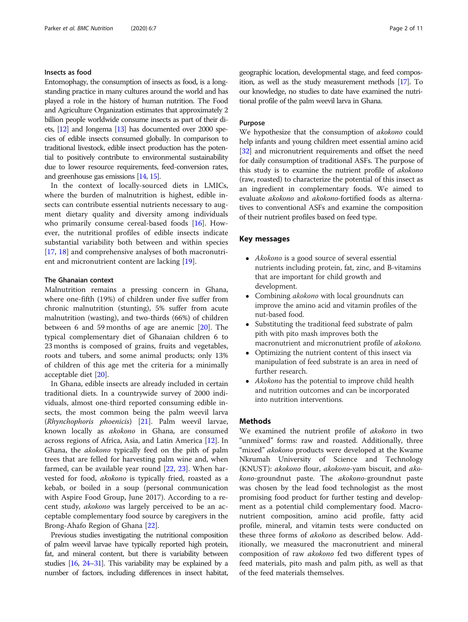## Insects as food

Entomophagy, the consumption of insects as food, is a longstanding practice in many cultures around the world and has played a role in the history of human nutrition. The Food and Agriculture Organization estimates that approximately 2 billion people worldwide consume insects as part of their diets, [[12\]](#page-9-0) and Jongema [\[13](#page-9-0)] has documented over 2000 species of edible insects consumed globally. In comparison to traditional livestock, edible insect production has the potential to positively contribute to environmental sustainability due to lower resource requirements, feed-conversion rates, and greenhouse gas emissions [\[14](#page-9-0), [15\]](#page-9-0).

In the context of locally-sourced diets in LMICs, where the burden of malnutrition is highest, edible insects can contribute essential nutrients necessary to augment dietary quality and diversity among individuals who primarily consume cereal-based foods [\[16](#page-9-0)]. However, the nutritional profiles of edible insects indicate substantial variability both between and within species [[17,](#page-9-0) [18\]](#page-9-0) and comprehensive analyses of both macronutrient and micronutrient content are lacking [\[19\]](#page-9-0).

## The Ghanaian context

Malnutrition remains a pressing concern in Ghana, where one-fifth (19%) of children under five suffer from chronic malnutrition (stunting), 5% suffer from acute malnutrition (wasting), and two-thirds (66%) of children between 6 and 59 months of age are anemic [[20\]](#page-9-0). The typical complementary diet of Ghanaian children 6 to 23 months is composed of grains, fruits and vegetables, roots and tubers, and some animal products; only 13% of children of this age met the criteria for a minimally acceptable diet [[20](#page-9-0)].

In Ghana, edible insects are already included in certain traditional diets. In a countrywide survey of 2000 individuals, almost one-third reported consuming edible insects, the most common being the palm weevil larva (Rhynchophoris phoenicis) [\[21\]](#page-9-0). Palm weevil larvae, known locally as akokono in Ghana, are consumed across regions of Africa, Asia, and Latin America [[12\]](#page-9-0). In Ghana, the akokono typically feed on the pith of palm trees that are felled for harvesting palm wine and, when farmed, can be available year round [\[22](#page-9-0), [23](#page-9-0)]. When harvested for food, akokono is typically fried, roasted as a kebab, or boiled in a soup (personal communication with Aspire Food Group, June 2017). According to a recent study, akokono was largely perceived to be an acceptable complementary food source by caregivers in the Brong-Ahafo Region of Ghana [[22](#page-9-0)].

Previous studies investigating the nutritional composition of palm weevil larvae have typically reported high protein, fat, and mineral content, but there is variability between studies [\[16](#page-9-0), [24](#page-9-0)–[31](#page-10-0)]. This variability may be explained by a number of factors, including differences in insect habitat, geographic location, developmental stage, and feed composition, as well as the study measurement methods [\[17](#page-9-0)]. To our knowledge, no studies to date have examined the nutritional profile of the palm weevil larva in Ghana.

## Purpose

We hypothesize that the consumption of *akokono* could help infants and young children meet essential amino acid [[32](#page-10-0)] and micronutrient requirements and offset the need for daily consumption of traditional ASFs. The purpose of this study is to examine the nutrient profile of akokono (raw, roasted) to characterize the potential of this insect as an ingredient in complementary foods. We aimed to evaluate akokono and akokono-fortified foods as alternatives to conventional ASFs and examine the composition of their nutrient profiles based on feed type.

## Key messages

- Akokono is a good source of several essential nutrients including protein, fat, zinc, and B-vitamins that are important for child growth and development.
- Combining akokono with local groundnuts can improve the amino acid and vitamin profiles of the nut-based food.
- Substituting the traditional feed substrate of palm pith with pito mash improves both the macronutrient and micronutrient profile of akokono.
- Optimizing the nutrient content of this insect via manipulation of feed substrate is an area in need of further research.
- Akokono has the potential to improve child health and nutrition outcomes and can be incorporated into nutrition interventions.

## Methods

We examined the nutrient profile of akokono in two "unmixed" forms: raw and roasted. Additionally, three "mixed" akokono products were developed at the Kwame Nkrumah University of Science and Technology (KNUST): akokono flour, akokono-yam biscuit, and akokono-groundnut paste. The akokono-groundnut paste was chosen by the lead food technologist as the most promising food product for further testing and development as a potential child complementary food. Macronutrient composition, amino acid profile, fatty acid profile, mineral, and vitamin tests were conducted on these three forms of akokono as described below. Additionally, we measured the macronutrient and mineral composition of raw akokono fed two different types of feed materials, pito mash and palm pith, as well as that of the feed materials themselves.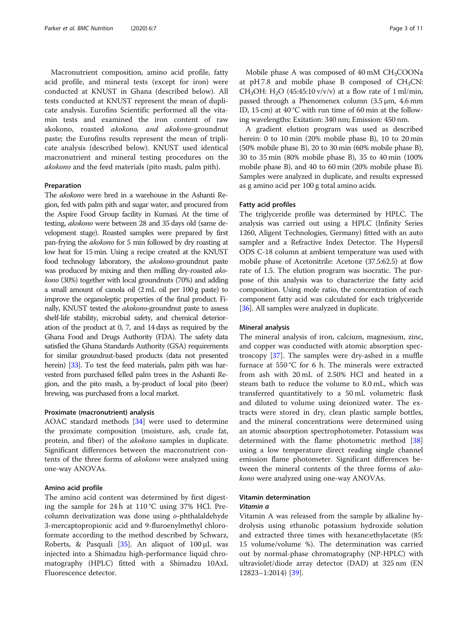Macronutrient composition, amino acid profile, fatty acid profile, and mineral tests (except for iron) were conducted at KNUST in Ghana (described below). All tests conducted at KNUST represent the mean of duplicate analysis. Eurofins Scientific performed all the vitamin tests and examined the iron content of raw akokono, roasted akokono, and akokono-groundnut paste; the Eurofins results represent the mean of triplicate analysis (described below). KNUST used identical macronutrient and mineral testing procedures on the akokono and the feed materials (pito mash, palm pith).

#### Preparation

The akokono were bred in a warehouse in the Ashanti Region, fed with palm pith and sugar water, and procured from the Aspire Food Group facility in Kumasi. At the time of testing, akokono were between 28 and 35 days old (same development stage). Roasted samples were prepared by first pan-frying the akokono for 5 min followed by dry roasting at low heat for 15 min. Using a recipe created at the KNUST food technology laboratory, the akokono-groundnut paste was produced by mixing and then milling dry-roasted akokono (30%) together with local groundnuts (70%) and adding a small amount of canola oil (2 mL oil per 100 g paste) to improve the organoleptic properties of the final product. Finally, KNUST tested the akokono-groundnut paste to assess shelf-life stability, microbial safety, and chemical deterioration of the product at 0, 7, and 14 days as required by the Ghana Food and Drugs Authority (FDA). The safety data satisfied the Ghana Standards Authority (GSA) requirements for similar groundnut-based products (data not presented herein) [\[33](#page-10-0)]. To test the feed materials, palm pith was harvested from purchased felled palm trees in the Ashanti Region, and the pito mash, a by-product of local pito (beer) brewing, was purchased from a local market.

## Proximate (macronutrient) analysis

AOAC standard methods [[34\]](#page-10-0) were used to determine the proximate composition (moisture, ash, crude fat, protein, and fiber) of the *akokono* samples in duplicate. Significant differences between the macronutrient contents of the three forms of akokono were analyzed using one-way ANOVAs.

#### Amino acid profile

The amino acid content was determined by first digesting the sample for 24 h at 110 °C using 37% HCl. Precolumn derivatization was done using o-phthalaldehyde 3-mercaptopropionic acid and 9-fluroenylmethyl chloroformate according to the method described by Schwarz, Roberts, & Pasquali [[35\]](#page-10-0). An aliquot of  $100 \mu L$  was injected into a Shimadzu high-performance liquid chromatography (HPLC) fitted with a Shimadzu 10AxL Fluorescence detector.

Mobile phase A was composed of  $40 \text{ mM } CH_3COONa$ at pH 7.8 and mobile phase B composed of  $CH<sub>3</sub>CN$ : CH<sub>3</sub>OH: H<sub>2</sub>O (45:45:10 v/v/v) at a flow rate of 1 ml/min, passed through a Phenomenex column (3.5 μm, 4.6 mm ID, 15 cm) at 40 °C with run time of 60 min at the following wavelengths: Exitation: 340 nm; Emission: 450 nm.

A gradient elution program was used as described herein: 0 to 10 min (20% mobile phase B), 10 to 20 min (50% mobile phase B), 20 to 30 min (60% mobile phase B), 30 to 35 min (80% mobile phase B), 35 to 40 min (100% mobile phase B), and 40 to 60 min (20% mobile phase B). Samples were analyzed in duplicate, and results expressed as g amino acid per 100 g total amino acids.

#### Fatty acid profiles

The triglyceride profile was determined by HPLC. The analysis was carried out using a HPLC (Infinity Series 1260, Aligent Technologies, Germany) fitted with an auto sampler and a Refractive Index Detector. The Hypersil ODS C-18 column at ambient temperature was used with mobile phase of Acetonitrile: Acetone (37.5:62.5) at flow rate of 1.5. The elution program was isocratic. The purpose of this analysis was to characterize the fatty acid composition. Using mole ratio, the concentration of each component fatty acid was calculated for each triglyceride [[36](#page-10-0)]. All samples were analyzed in duplicate.

#### Mineral analysis

The mineral analysis of iron, calcium, magnesium, zinc, and copper was conducted with atomic absorption spectroscopy [\[37\]](#page-10-0). The samples were dry-ashed in a muffle furnace at 550 °C for 6 h. The minerals were extracted from ash with 20 mL of 2.50% HCl and heated in a steam bath to reduce the volume to 8.0 mL, which was transferred quantitatively to a 50 mL volumetric flask and diluted to volume using deionized water. The extracts were stored in dry, clean plastic sample bottles, and the mineral concentrations were determined using an atomic absorption spectrophotometer. Potassium was determined with the flame photometric method [[38](#page-10-0)] using a low temperature direct reading single channel emission flame photometer. Significant differences between the mineral contents of the three forms of akokono were analyzed using one-way ANOVAs.

## Vitamin determination

## Vitamin a

Vitamin A was released from the sample by alkaline hydrolysis using ethanolic potassium hydroxide solution and extracted three times with hexane:ethylacetate (85: 15 volume/volume %). The determination was carried out by normal-phase chromatography (NP-HPLC) with ultraviolet/diode array detector (DAD) at 325 nm (EN 12823–1:2014) [\[39\]](#page-10-0).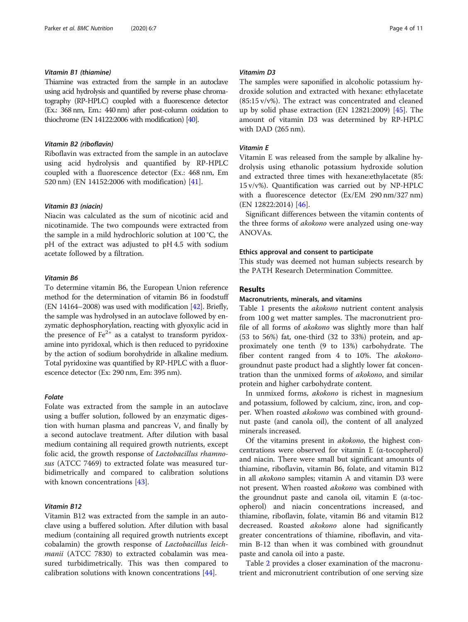## Vitamin B1 (thiamine)

Thiamine was extracted from the sample in an autoclave using acid hydrolysis and quantified by reverse phase chromatography (RP-HPLC) coupled with a fluorescence detector (Ex.: 368 nm, Em.: 440 nm) after post-column oxidation to thiochrome (EN 14122:2006 with modification) [\[40](#page-10-0)].

## Vitamin B2 (riboflavin)

Riboflavin was extracted from the sample in an autoclave using acid hydrolysis and quantified by RP-HPLC coupled with a fluorescence detector (Ex.: 468 nm, Em 520 nm) (EN 14152:2006 with modification) [\[41\]](#page-10-0).

## Vitamin B3 (niacin)

Niacin was calculated as the sum of nicotinic acid and nicotinamide. The two compounds were extracted from the sample in a mild hydrochloric solution at 100 °C, the pH of the extract was adjusted to pH 4.5 with sodium acetate followed by a filtration.

## Vitamin B6

To determine vitamin B6, the European Union reference method for the determination of vitamin B6 in foodstuff (EN 14164–2008) was used with modification [\[42\]](#page-10-0). Briefly, the sample was hydrolysed in an autoclave followed by enzymatic dephosphorylation, reacting with glyoxylic acid in the presence of  $Fe<sup>2+</sup>$  as a catalyst to transform pyridoxamine into pyridoxal, which is then reduced to pyridoxine by the action of sodium borohydride in alkaline medium. Total pyridoxine was quantified by RP-HPLC with a fluorescence detector (Ex: 290 nm, Em: 395 nm).

#### Folate

Folate was extracted from the sample in an autoclave using a buffer solution, followed by an enzymatic digestion with human plasma and pancreas V, and finally by a second autoclave treatment. After dilution with basal medium containing all required growth nutrients, except folic acid, the growth response of *Lactobacillus rhamno*sus (ATCC 7469) to extracted folate was measured turbidimetrically and compared to calibration solutions with known concentrations [[43\]](#page-10-0).

# Vitamin B12

Vitamin B12 was extracted from the sample in an autoclave using a buffered solution. After dilution with basal medium (containing all required growth nutrients except cobalamin) the growth response of Lactobacillus leichmanii (ATCC 7830) to extracted cobalamin was measured turbidimetrically. This was then compared to calibration solutions with known concentrations [[44\]](#page-10-0).

## Vitamim D3

The samples were saponified in alcoholic potassium hydroxide solution and extracted with hexane: ethylacetate  $(85:15 \text{ v/v\%})$ . The extract was concentrated and cleaned up by solid phase extraction (EN 12821:2009) [\[45](#page-10-0)]. The amount of vitamin D3 was determined by RP-HPLC with DAD (265 nm).

#### Vitamin E

Vitamin E was released from the sample by alkaline hydrolysis using ethanolic potassium hydroxide solution and extracted three times with hexane:ethylacetate (85: 15 v/v%). Quantification was carried out by NP-HPLC with a fluorescence detector (Ex/EM 290 nm/327 nm) (EN 12822:2014) [\[46](#page-10-0)].

Significant differences between the vitamin contents of the three forms of *akokono* were analyzed using one-way ANOVAs.

#### Ethics approval and consent to participate

This study was deemed not human subjects research by the PATH Research Determination Committee.

## Results

## Macronutrients, minerals, and vitamins

Table [1](#page-4-0) presents the akokono nutrient content analysis from 100 g wet matter samples. The macronutrient profile of all forms of akokono was slightly more than half (53 to 56%) fat, one-third (32 to 33%) protein, and approximately one tenth (9 to 13%) carbohydrate. The fiber content ranged from 4 to 10%. The akokonogroundnut paste product had a slightly lower fat concentration than the unmixed forms of akokono, and similar protein and higher carbohydrate content.

In unmixed forms, akokono is richest in magnesium and potassium, followed by calcium, zinc, iron, and copper. When roasted *akokono* was combined with groundnut paste (and canola oil), the content of all analyzed minerals increased.

Of the vitamins present in akokono, the highest concentrations were observed for vitamin E (α-tocopherol) and niacin. There were small but significant amounts of thiamine, riboflavin, vitamin B6, folate, and vitamin B12 in all akokono samples; vitamin A and vitamin D3 were not present. When roasted akokono was combined with the groundnut paste and canola oil, vitamin E (α-tocopherol) and niacin concentrations increased, and thiamine, riboflavin, folate, vitamin B6 and vitamin B12 decreased. Roasted akokono alone had significantly greater concentrations of thiamine, riboflavin, and vitamin B-12 than when it was combined with groundnut paste and canola oil into a paste.

Table [2](#page-5-0) provides a closer examination of the macronutrient and micronutrient contribution of one serving size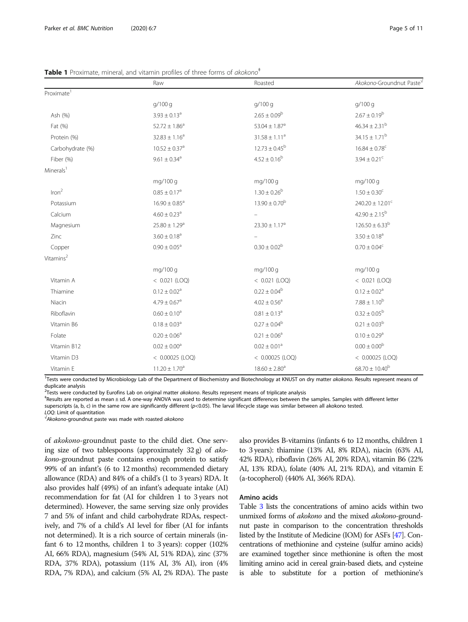|                        | Raw                           | Roasted                       | Akokono-Groundnut Paste <sup>V</sup> |
|------------------------|-------------------------------|-------------------------------|--------------------------------------|
| Proximate <sup>1</sup> |                               |                               |                                      |
|                        | g/100 g                       | g/100 g                       | g/100 g                              |
| Ash (%)                | $3.93 \pm 0.13$ <sup>a</sup>  | $2.65 \pm 0.09^b$             | $2.67 \pm 0.19^b$                    |
| Fat (%)                | $52.72 \pm 1.86^a$            | $53.04 \pm 1.87$ <sup>a</sup> | $46.34 \pm 2.31^{\rm b}$             |
| Protein (%)            | $32.83 \pm 1.16^a$            | $31.58 \pm 1.11^a$            | $34.15\pm1.71^{\rm b}$               |
| Carbohydrate (%)       | $10.52 \pm 0.37$ <sup>a</sup> | $12.73 \pm 0.45^{\rm b}$      | $16.84 \pm 0.78$ <sup>c</sup>        |
| Fiber (%)              | $9.61 \pm 0.34^a$             | $4.52 \pm 0.16^b$             | $3.94 \pm 0.21$ <sup>c</sup>         |
| Minerals <sup>1</sup>  |                               |                               |                                      |
|                        | mg/100 g                      | mg/100 g                      | mg/100 g                             |
| Inom <sup>2</sup>      | $0.85 \pm 0.17^a$             | $1.30 \pm 0.26^{\rm b}$       | $1.50 \pm 0.30^c$                    |
| Potassium              | $16.90 \pm 0.85$ <sup>a</sup> | $13.90 \pm 0.70^{\rm b}$      | $240.20 \pm 12.01^c$                 |
| Calcium                | $4.60 \pm 0.23$ <sup>a</sup>  |                               | $42.90 \pm 2.15^{\rm b}$             |
| Magnesium              | $25.80 \pm 1.29$ <sup>a</sup> | $23.30 \pm 1.17^a$            | $126.50 \pm 6.33^b$                  |
| Zinc                   | $3.60 \pm 0.18^a$             |                               | $3.50 \pm 0.18^a$                    |
| Copper                 | $0.90 \pm 0.05^{\rm a}$       | $0.30 \pm 0.02^{\rm b}$       | $0.70 \pm 0.04^c$                    |
| Vitamins <sup>2</sup>  |                               |                               |                                      |
|                        | mg/100 g                      | mg/100 g                      | mg/100 g                             |
| Vitamin A              | $<$ 0.021 (LOQ)               | $<$ 0.021 (LOQ)               | $<$ 0.021 (LOQ)                      |
| Thiamine               | $0.12 \pm 0.02^a$             | $0.22 \pm 0.04^b$             | $0.12 \pm 0.02^a$                    |
| Niacin                 | $4.79 \pm 0.67$ <sup>a</sup>  | $4.02 \pm 0.56$ <sup>a</sup>  | $7.88 \pm 1.10^{b}$                  |
| Riboflavin             | $0.60 \pm 0.10^a$             | $0.81 \pm 0.13^a$             | $0.32 \pm 0.05^{\rm b}$              |
| Vitamin B6             | $0.18 \pm 0.03$ <sup>a</sup>  | $0.27 \pm 0.04^b$             | $0.21 \pm 0.03^{\rm b}$              |
| Folate                 | $0.20 \pm 0.06^a$             | $0.21 \pm 0.06^a$             | $0.10 \pm 0.29$ <sup>a</sup>         |
| Vitamin B12            | $0.02\pm0.00^{\rm a}$         | $0.02 \pm 0.01^a$             | $0.00 \pm 0.00^{\rm b}$              |
| Vitamin D3             | $<$ 0.00025 (LOQ)             | $<$ 0.00025 (LOQ)             | $<$ 0.00025 (LOQ)                    |
| Vitamin E              | $11.20 \pm 1.70$ <sup>a</sup> | $18.60 \pm 2.80$ <sup>a</sup> | $68.70 \pm 10.40^b$                  |

<span id="page-4-0"></span>

| Table 1 Proximate, mineral, and vitamin profiles of three forms of akokono <sup>#</sup> |  |
|-----------------------------------------------------------------------------------------|--|
|-----------------------------------------------------------------------------------------|--|

<sup>1</sup>Tests were conducted by Microbiology Lab of the Department of Biochemistry and Biotechnology at KNUST on dry matter akokono. Results represent means of duplicate analysis

<sup>2</sup>Tests were conducted by Eurofins Lab on original matter akokono. Results represent means of triplicate analysis<br><sup>‡Docults are conorted as mean + sd. A one way ANOVA was used to determine significant differences between </sup>

Results are reported as mean ± sd. A one-way ANOVA was used to determine significant differences between the samples. Samples with different letter superscripts (a, b, c) in the same row are significantly different (p<0.05). The larval lifecycle stage was similar between all akokono tested.

LOQ: Limit of quantitation

 $\sqrt{4}$ kokono-groundnut paste was made with roasted akokono

of akokono-groundnut paste to the child diet. One serving size of two tablespoons (approximately 32 g) of akokono-groundnut paste contains enough protein to satisfy 99% of an infant's (6 to 12 months) recommended dietary allowance (RDA) and 84% of a child's (1 to 3 years) RDA. It also provides half (49%) of an infant's adequate intake (AI) recommendation for fat (AI for children 1 to 3 years not determined). However, the same serving size only provides 7 and 5% of infant and child carbohydrate RDAs, respectively, and 7% of a child's AI level for fiber (AI for infants not determined). It is a rich source of certain minerals (infant 6 to 12 months, children 1 to 3 years): copper (102% AI, 66% RDA), magnesium (54% AI, 51% RDA), zinc (37% RDA, 37% RDA), potassium (11% AI, 3% AI), iron (4% RDA, 7% RDA), and calcium (5% AI, 2% RDA). The paste also provides B-vitamins (infants 6 to 12 months, children 1 to 3 years): thiamine (13% AI, 8% RDA), niacin (63% AI, 42% RDA), riboflavin (26% AI, 20% RDA), vitamin B6 (22% AI, 13% RDA), folate (40% AI, 21% RDA), and vitamin E (a-tocopherol) (440% AI, 366% RDA).

## Amino acids

Table [3](#page-6-0) lists the concentrations of amino acids within two unmixed forms of *akokono* and the mixed *akokono-ground*nut paste in comparison to the concentration thresholds listed by the Institute of Medicine (IOM) for ASFs [\[47](#page-10-0)]. Concentrations of methionine and cysteine (sulfur amino acids) are examined together since methionine is often the most limiting amino acid in cereal grain-based diets, and cysteine is able to substitute for a portion of methionine's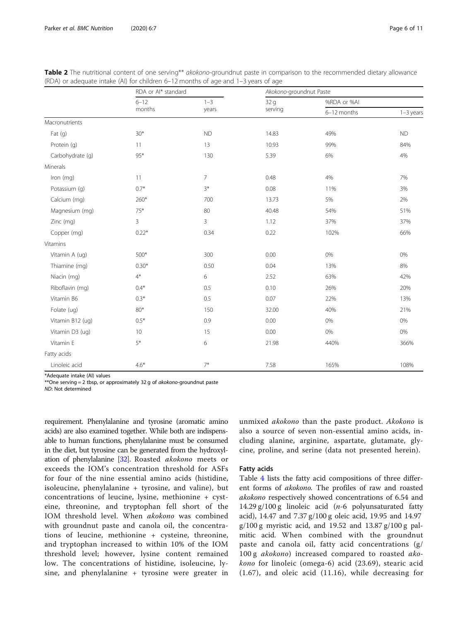|                  | RDA or Al* standard |                | Akokono-groundnut Paste |             |             |  |
|------------------|---------------------|----------------|-------------------------|-------------|-------------|--|
|                  | $6 - 12$            | $1 - 3$        | 32 <sub>g</sub>         | %RDA or %AI |             |  |
|                  | months              | years          | serving                 | 6-12 months | $1-3$ years |  |
| Macronutrients   |                     |                |                         |             |             |  |
| Fat(g)           | $30*$               | <b>ND</b>      | 14.83                   | 49%         | <b>ND</b>   |  |
| Protein (q)      | 11                  | 13             | 10.93                   | 99%         | 84%         |  |
| Carbohydrate (g) | 95*                 | 130            | 5.39                    | 6%          | 4%          |  |
| Minerals         |                     |                |                         |             |             |  |
| Iron (mg)        | 11                  | $\overline{7}$ | 0.48                    | 4%          | 7%          |  |
| Potassium (q)    | $0.7*$              | $3*$           | 0.08                    | 11%         | 3%          |  |
| Calcium (mg)     | 260*                | 700            | 13.73                   | 5%          | 2%          |  |
| Magnesium (mg)   | $75*$               | 80             | 40.48                   | 54%         | 51%         |  |
| Zinc (mg)        | 3                   | 3              | 1.12                    | 37%         | 37%         |  |
| Copper (mg)      | $0.22*$             | 0.34           | 0.22                    | 102%        | 66%         |  |
| Vitamins         |                     |                |                         |             |             |  |
| Vitamin A (ug)   | 500*                | 300            | 0.00                    | 0%          | 0%          |  |
| Thiamine (mg)    | $0.30*$             | 0.50           | 0.04                    | 13%         | 8%          |  |
| Niacin (mg)      | $4^*$               | 6              | 2.52                    | 63%         | 42%         |  |
| Riboflavin (mg)  | $0.4*$              | 0.5            | 0.10                    | 26%         | 20%         |  |
| Vitamin B6       | $0.3^*$             | 0.5            | 0.07                    | 22%         | 13%         |  |
| Folate (ug)      | 80*                 | 150            | 32.00                   | 40%         | 21%         |  |
| Vitamin B12 (ug) | $0.5*$              | 0.9            | 0.00                    | 0%          | 0%          |  |
| Vitamin D3 (ug)  | 10                  | 15             | 0.00                    | 0%          | $0\%$       |  |
| Vitamin E        | 5*                  | 6              | 21.98                   | 440%        | 366%        |  |
| Fatty acids      |                     |                |                         |             |             |  |
| Linoleic acid    | $4.6*$              | $7*$           | 7.58                    | 165%        | 108%        |  |

<span id="page-5-0"></span>

|  | Table 2 The nutritional content of one serving** akokono-groundnut paste in comparison to the recommended dietary allowance |  |  |  |  |
|--|-----------------------------------------------------------------------------------------------------------------------------|--|--|--|--|
|  | (RDA) or adequate intake (AI) for children $6-12$ months of age and $1-3$ years of age                                      |  |  |  |  |

\*Adequate intake (AI) values

\*\*One serving = 2 tbsp, or approximately 32 g of akokono-groundnut paste

ND: Not determined

requirement. Phenylalanine and tyrosine (aromatic amino acids) are also examined together. While both are indispensable to human functions, phenylalanine must be consumed in the diet, but tyrosine can be generated from the hydroxylation of phenylalanine [[32\]](#page-10-0). Roasted akokono meets or exceeds the IOM's concentration threshold for ASFs for four of the nine essential amino acids (histidine, isoleucine, phenylalanine + tyrosine, and valine), but concentrations of leucine, lysine, methionine + cysteine, threonine, and tryptophan fell short of the IOM threshold level. When akokono was combined with groundnut paste and canola oil, the concentrations of leucine, methionine + cysteine, threonine, and tryptophan increased to within 10% of the IOM threshold level; however, lysine content remained low. The concentrations of histidine, isoleucine, lysine, and phenylalanine + tyrosine were greater in unmixed akokono than the paste product. Akokono is also a source of seven non-essential amino acids, including alanine, arginine, aspartate, glutamate, glycine, proline, and serine (data not presented herein).

#### Fatty acids

Table [4](#page-6-0) lists the fatty acid compositions of three different forms of akokono. The profiles of raw and roasted akokono respectively showed concentrations of 6.54 and 14.29 g/100 g linoleic acid ( $n-6$  polyunsaturated fatty acid), 14.47 and 7.37 g/100 g oleic acid, 19.95 and 14.97  $g/100 g$  myristic acid, and 19.52 and 13.87  $g/100 g$  palmitic acid. When combined with the groundnut paste and canola oil, fatty acid concentrations (g/ 100 g *akokono*) increased compared to roasted *ako*kono for linoleic (omega-6) acid (23.69), stearic acid (1.67), and oleic acid (11.16), while decreasing for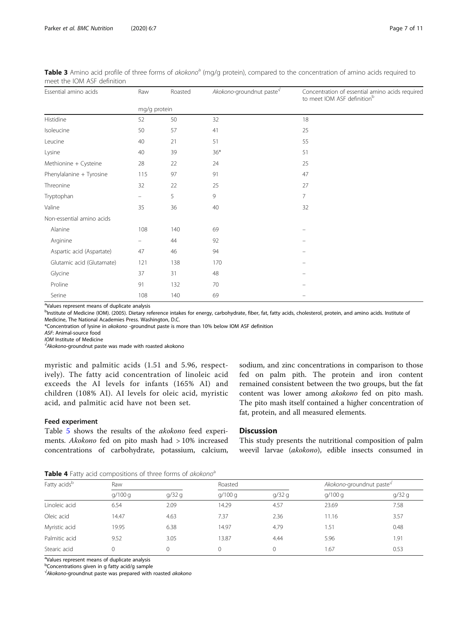Non-essential amino acids

<span id="page-6-0"></span>

| meet the IOM ASF definition |     |              |                                      | Table 3 Amino acid profile of three forms of akokono <sup>a</sup> (mg/g protein), compared to the concentration of amino acids required to |  |  |
|-----------------------------|-----|--------------|--------------------------------------|--------------------------------------------------------------------------------------------------------------------------------------------|--|--|
| Essential amino acids       | Raw | Roasted      | Akokono-groundnut paste <sup>v</sup> | Concentration of essential amino acids required<br>to meet IOM ASE definition <sup>b</sup>                                                 |  |  |
|                             |     | mg/g protein |                                      |                                                                                                                                            |  |  |
| <b>Histidine</b>            | 52  | 50           | 32                                   | 18                                                                                                                                         |  |  |
| Isoleucine                  | 50  | 57           | 41                                   | 25                                                                                                                                         |  |  |
| Leucine                     | 40  | 21           | 51                                   | 55                                                                                                                                         |  |  |
| Lysine                      | 40  | 39           | $36*$                                | 51                                                                                                                                         |  |  |
| Methionine + Cysteine       | 28  | 22           | 24                                   | 25                                                                                                                                         |  |  |

<sup>a</sup>Values represent means of duplicate analysis

b<br>Institute of Medicine (IOM). (2005). Dietary reference intakes for energy, carbohydrate, fiber, fat, fatty acids, cholesterol, protein, and amino acids. Institute of Medicine, The National Academies Press. Washington, D.C.

\*Concentration of lysine in akokono -groundnut paste is more than 10% below IOM ASF definition

Phenylalanine + Tyrosine 115 97 91 91 91 91 91  $\frac{1}{2}$  Threonine 27 22 25 27 27  $\n **Typtophan**   
\n $-$    
\n $-$    
\n $-$    
\n $-$    
\n $-$    
\n $-$    
\n $-$    
\n $-$    
\n $-$    
\n $-$    
\n $-$    
\n $-$    
\n $-$    
\n $-$    
\n $-$    
\n $-$  <$ Valine 35 36 40 32

Alanine 108 108 140 69 – 108 – 108 – 108 – 108 – 108 – 108 – 108 – 108 – 108 – 108 – 108 – 108 – 108 – 108 – 1 Arginine – 44 92 –

Glycine 37 31 48 – Proline 201 132 70 – 201 – 202 132 70 – 202 132 – 202 132 – 202 132 – 202 132 – 202 132 – 202 132 – 202 132 – 20 Serine 108 108 140 69 – 108 – 108 – 108 – 108 – 108 – 108 – 108 – 108 – 108 – 108 – 108 – 108 – 108 – 108 – 10

ASF: Animal-source food

IOM Institute of Medicine

 $\sqrt{4}$ kokono-groundnut paste was made with roasted akokono

myristic and palmitic acids (1.51 and 5.96, respectively). The fatty acid concentration of linoleic acid exceeds the AI levels for infants (165% AI) and children (108% AI). AI levels for oleic acid, myristic acid, and palmitic acid have not been set.

Aspartic acid (Aspartate)  $47$  46 – 94 Glutamic acid (Glutamate) 121 138 170

## Feed experiment

Table [5](#page-7-0) shows the results of the akokono feed experiments. Akokono fed on pito mash had > 10% increased concentrations of carbohydrate, potassium, calcium, sodium, and zinc concentrations in comparison to those fed on palm pith. The protein and iron content remained consistent between the two groups, but the fat content was lower among akokono fed on pito mash. The pito mash itself contained a higher concentration of fat, protein, and all measured elements.

# **Discussion**

This study presents the nutritional composition of palm weevil larvae (akokono), edible insects consumed in

Table 4 Fatty acid compositions of three forms of akokono<sup>a</sup>

| Fatty acids <sup>b</sup> | Raw    |       |        | Roasted |        | Akokono-groundnut paste <sup>V</sup> |  |  |
|--------------------------|--------|-------|--------|---------|--------|--------------------------------------|--|--|
|                          | q/100q | q/32q | q/100q | q/32q   | q/100q | q/32q                                |  |  |
| Linoleic acid            | 6.54   | 2.09  | 14.29  | 4.57    | 23.69  | 7.58                                 |  |  |
| Oleic acid               | 14.47  | 4.63  | 7.37   | 2.36    | 11.16  | 3.57                                 |  |  |
| Myristic acid            | 19.95  | 6.38  | 14.97  | 4.79    | 1.51   | 0.48                                 |  |  |
| Palmitic acid            | 9.52   | 3.05  | 13.87  | 4.44    | 5.96   | 1.91                                 |  |  |
| Stearic acid             |        | 0     |        |         | 1.67   | 0.53                                 |  |  |

<sup>a</sup>Values represent means of duplicate analysis

**b**Concentrations given in g fatty acid/g sample

√ Akokono-groundnut paste was prepared with roasted akokono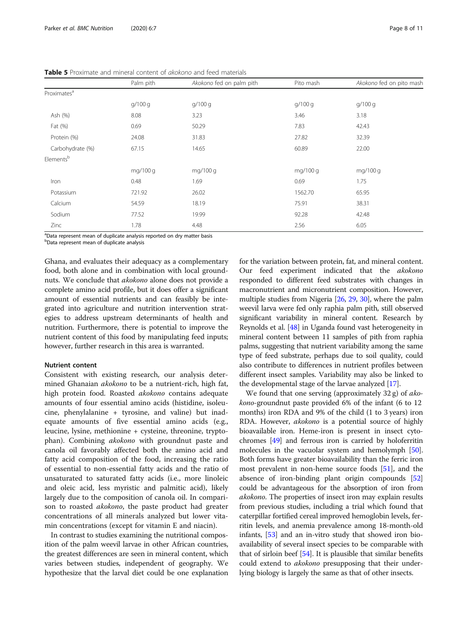|                         | Palm pith | Akokono fed on palm pith | Pito mash | Akokono fed on pito mash |
|-------------------------|-----------|--------------------------|-----------|--------------------------|
| Proximates <sup>a</sup> |           |                          |           |                          |
|                         | g/100 g   | q/100q                   | q/100q    | g/100 g                  |
| Ash (%)                 | 8.08      | 3.23                     | 3.46      | 3.18                     |
| Fat (%)                 | 0.69      | 50.29                    | 7.83      | 42.43                    |
| Protein (%)             | 24.08     | 31.83                    | 27.82     | 32.39                    |
| Carbohydrate (%)        | 67.15     | 14.65                    | 60.89     | 22.00                    |
| Elementsb               |           |                          |           |                          |
|                         | mg/100 g  | mg/100 g                 | mg/100 g  | mg/100 g                 |
| Iron                    | 0.48      | 1.69                     | 0.69      | 1.75                     |
| Potassium               | 721.92    | 26.02                    | 1562.70   | 65.95                    |
| Calcium                 | 54.59     | 18.19                    | 75.91     | 38.31                    |
| Sodium                  | 77.52     | 19.99                    | 92.28     | 42.48                    |
| Zinc                    | 1.78      | 4.48                     | 2.56      | 6.05                     |

<span id="page-7-0"></span>Table 5 Proximate and mineral content of akokono and feed materials

<sup>a</sup>Data represent mean of duplicate analysis reported on dry matter basis

**b**Data represent mean of duplicate analysis

Ghana, and evaluates their adequacy as a complementary food, both alone and in combination with local groundnuts. We conclude that akokono alone does not provide a complete amino acid profile, but it does offer a significant amount of essential nutrients and can feasibly be integrated into agriculture and nutrition intervention strategies to address upstream determinants of health and nutrition. Furthermore, there is potential to improve the nutrient content of this food by manipulating feed inputs; however, further research in this area is warranted.

## Nutrient content

Consistent with existing research, our analysis determined Ghanaian akokono to be a nutrient-rich, high fat, high protein food. Roasted akokono contains adequate amounts of four essential amino acids (histidine, isoleucine, phenylalanine + tyrosine, and valine) but inadequate amounts of five essential amino acids (e.g., leucine, lysine, methionine + cysteine, threonine, tryptophan). Combining akokono with groundnut paste and canola oil favorably affected both the amino acid and fatty acid composition of the food, increasing the ratio of essential to non-essential fatty acids and the ratio of unsaturated to saturated fatty acids (i.e., more linoleic and oleic acid, less myristic and palmitic acid), likely largely due to the composition of canola oil. In comparison to roasted akokono, the paste product had greater concentrations of all minerals analyzed but lower vitamin concentrations (except for vitamin E and niacin).

In contrast to studies examining the nutritional composition of the palm weevil larvae in other African countries, the greatest differences are seen in mineral content, which varies between studies, independent of geography. We hypothesize that the larval diet could be one explanation for the variation between protein, fat, and mineral content. Our feed experiment indicated that the akokono responded to different feed substrates with changes in macronutrient and micronutrient composition. However, multiple studies from Nigeria [[26,](#page-9-0) [29](#page-10-0), [30\]](#page-10-0), where the palm weevil larva were fed only raphia palm pith, still observed significant variability in mineral content. Research by Reynolds et al. [\[48\]](#page-10-0) in Uganda found vast heterogeneity in mineral content between 11 samples of pith from raphia palms, suggesting that nutrient variability among the same type of feed substrate, perhaps due to soil quality, could also contribute to differences in nutrient profiles between different insect samples. Variability may also be linked to the developmental stage of the larvae analyzed [\[17](#page-9-0)].

We found that one serving (approximately  $32 \text{ g}$ ) of akokono-groundnut paste provided 6% of the infant (6 to 12 months) iron RDA and 9% of the child (1 to 3 years) iron RDA. However, akokono is a potential source of highly bioavailable iron. Heme-iron is present in insect cytochromes [[49](#page-10-0)] and ferrous iron is carried by holoferritin molecules in the vacuolar system and hemolymph [[50](#page-10-0)]. Both forms have greater bioavailability than the ferric iron most prevalent in non-heme source foods [[51](#page-10-0)], and the absence of iron-binding plant origin compounds [[52](#page-10-0)] could be advantageous for the absorption of iron from akokono. The properties of insect iron may explain results from previous studies, including a trial which found that caterpillar fortified cereal improved hemoglobin levels, ferritin levels, and anemia prevalence among 18-month-old infants, [[53](#page-10-0)] and an in-vitro study that showed iron bioavailability of several insect species to be comparable with that of sirloin beef [[54](#page-10-0)]. It is plausible that similar benefits could extend to *akokono* presupposing that their underlying biology is largely the same as that of other insects.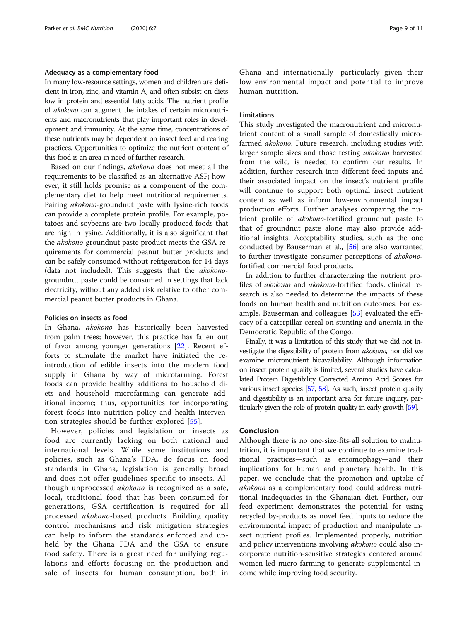#### Adequacy as a complementary food

In many low-resource settings, women and children are deficient in iron, zinc, and vitamin A, and often subsist on diets low in protein and essential fatty acids. The nutrient profile of akokono can augment the intakes of certain micronutrients and macronutrients that play important roles in development and immunity. At the same time, concentrations of these nutrients may be dependent on insect feed and rearing practices. Opportunities to optimize the nutrient content of this food is an area in need of further research.

Based on our findings, akokono does not meet all the requirements to be classified as an alternative ASF; however, it still holds promise as a component of the complementary diet to help meet nutritional requirements. Pairing akokono-groundnut paste with lysine-rich foods can provide a complete protein profile. For example, potatoes and soybeans are two locally produced foods that are high in lysine. Additionally, it is also significant that the akokono-groundnut paste product meets the GSA requirements for commercial peanut butter products and can be safely consumed without refrigeration for 14 days (data not included). This suggests that the akokonogroundnut paste could be consumed in settings that lack electricity, without any added risk relative to other commercial peanut butter products in Ghana.

## Policies on insects as food

In Ghana, akokono has historically been harvested from palm trees; however, this practice has fallen out of favor among younger generations [\[22](#page-9-0)]. Recent efforts to stimulate the market have initiated the reintroduction of edible insects into the modern food supply in Ghana by way of microfarming. Forest foods can provide healthy additions to household diets and household microfarming can generate additional income; thus, opportunities for incorporating forest foods into nutrition policy and health intervention strategies should be further explored [[55\]](#page-10-0).

However, policies and legislation on insects as food are currently lacking on both national and international levels. While some institutions and policies, such as Ghana's FDA, do focus on food standards in Ghana, legislation is generally broad and does not offer guidelines specific to insects. Although unprocessed *akokono* is recognized as a safe, local, traditional food that has been consumed for generations, GSA certification is required for all processed akokono-based products. Building quality control mechanisms and risk mitigation strategies can help to inform the standards enforced and upheld by the Ghana FDA and the GSA to ensure food safety. There is a great need for unifying regulations and efforts focusing on the production and sale of insects for human consumption, both in Ghana and internationally—particularly given their low environmental impact and potential to improve human nutrition.

## Limitations

This study investigated the macronutrient and micronutrient content of a small sample of domestically microfarmed akokono. Future research, including studies with larger sample sizes and those testing akokono harvested from the wild, is needed to confirm our results. In addition, further research into different feed inputs and their associated impact on the insect's nutrient profile will continue to support both optimal insect nutrient content as well as inform low-environmental impact production efforts. Further analyses comparing the nutrient profile of akokono-fortified groundnut paste to that of groundnut paste alone may also provide additional insights. Acceptability studies, such as the one conducted by Bauserman et al., [\[56\]](#page-10-0) are also warranted to further investigate consumer perceptions of akokonofortified commercial food products.

In addition to further characterizing the nutrient profiles of akokono and akokono-fortified foods, clinical research is also needed to determine the impacts of these foods on human health and nutrition outcomes. For example, Bauserman and colleagues [[53\]](#page-10-0) evaluated the efficacy of a caterpillar cereal on stunting and anemia in the Democratic Republic of the Congo.

Finally, it was a limitation of this study that we did not investigate the digestibility of protein from akokono, nor did we examine micronutrient bioavailability. Although information on insect protein quality is limited, several studies have calculated Protein Digestibility Corrected Amino Acid Scores for various insect species [\[57](#page-10-0), [58\]](#page-10-0). As such, insect protein quality and digestibility is an important area for future inquiry, particularly given the role of protein quality in early growth [\[59](#page-10-0)].

## Conclusion

Although there is no one-size-fits-all solution to malnutrition, it is important that we continue to examine traditional practices—such as entomophagy—and their implications for human and planetary health. In this paper, we conclude that the promotion and uptake of akokono as a complementary food could address nutritional inadequacies in the Ghanaian diet. Further, our feed experiment demonstrates the potential for using recycled by-products as novel feed inputs to reduce the environmental impact of production and manipulate insect nutrient profiles. Implemented properly, nutrition and policy interventions involving *akokono* could also incorporate nutrition-sensitive strategies centered around women-led micro-farming to generate supplemental income while improving food security.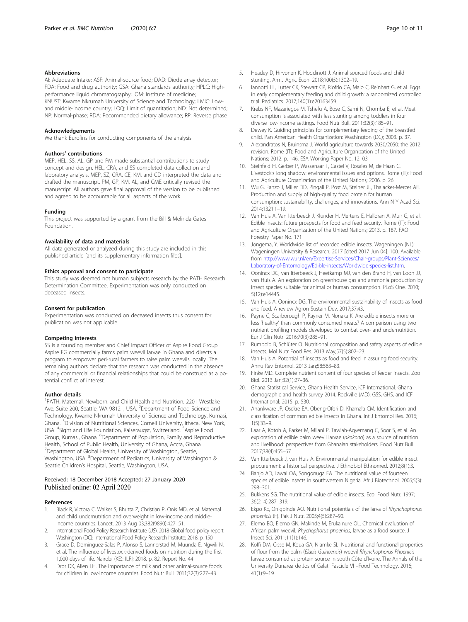#### <span id="page-9-0"></span>Abbreviations

AI: Adequate Intake; ASF: Animal-source food; DAD: Diode array detector; FDA: Food and drug authority; GSA: Ghana standards authority; HPLC: Highperformance liquid chromatography; IOM: Institute of medicine; KNUST: Kwame Nkrumah University of Science and Technology; LMIC: Lowand middle-income country; LOQ: Limit of quantitation; ND: Not determined; NP: Normal-phase; RDA: Recommended dietary allowance; RP: Reverse phase

#### Acknowledgements

We thank Eurofins for conducting components of the analysis.

## Authors' contributions

MEP, HEL, SS, AL, GP and PM made substantial contributions to study concept and design. HEL, CRA, and SS completed data collection and laboratory analysis. MEP, SZ, CRA, CE, KM, and CD interpreted the data and drafted the manuscript. PM, GP, KM, AL, and CME critically revised the manuscript. All authors gave final approval of the version to be published and agreed to be accountable for all aspects of the work.

#### Funding

This project was supported by a grant from the Bill & Melinda Gates Foundation.

## Availability of data and materials

All data generated or analyzed during this study are included in this published article [and its supplementary information files].

#### Ethics approval and consent to participate

This study was deemed not human subjects research by the PATH Research Determination Committee. Experimentation was only conducted on deceased insects.

#### Consent for publication

Experimentation was conducted on deceased insects thus consent for publication was not applicable.

#### Competing interests

SS is a founding member and Chief Impact Officer of Aspire Food Group. Aspire FG commercially farms palm weevil larvae in Ghana and directs a program to empower peri-rural farmers to raise palm weevils locally. The remaining authors declare that the research was conducted in the absence of any commercial or financial relationships that could be construed as a potential conflict of interest.

#### Author details

<sup>1</sup>PATH, Maternal, Newborn, and Child Health and Nutrition, 2201 Westlake Ave, Suite 200, Seattle, WA 98121, USA. <sup>2</sup>Department of Food Science and Technology, Kwame Nkrumah University of Science and Technology, Kumasi, Ghana. <sup>3</sup> Division of Nutritional Sciences, Cornell University, Ithaca, New York, USA. <sup>4</sup>Sight and Life Foundation, Kaiseraugst, Switzerland. <sup>5</sup>Aspire Food Group, Kumasi, Ghana. <sup>6</sup>Department of Population, Family and Reproductive Health, School of Public Health, University of Ghana, Accra, Ghana. <sup>7</sup>Department of Global Health, University of Washington, Seattle, Washington, USA. <sup>8</sup>Department of Pediatrics, University of Washington & Seattle Children's Hospital, Seattle, Washington, USA.

## Received: 18 December 2018 Accepted: 27 January 2020 Published online: 02 April 2020

## References

- Black R, Victora C, Walker S, Bhutta Z, Christian P, Onis MD, et al. Maternal and child undernutrition and overweight in low-income and middleincome countries. Lancet. 2013 Aug 03;382(9890):427–51.
- 2. International Food Policy Research Institute (US). 2018 Global food policy report. Washington (DC): International Food Policy Research Institute; 2018. p. 150.
- Grace D, Dominguez-Salas P, Alonso S, Lannerstad M, Muunda E, Ngwili N, et al. The influence of livestock-derived foods on nutrition during the first 1,000 days of life. Nairobi (KE): ILRI; 2018. p. 82. Report No. 44
- Dror DK, Allen LH. The importance of milk and other animal-source foods for children in low-income countries. Food Nutr Bull. 2011;32(3):227–43.
- 5. Headey D, Hirvonen K, Hoddinott J. Animal sourced foods and child stunting. Am J Agric Econ. 2018;100(5):1302–19.
- 6. Iannotti LL, Lutter CK, Stewart CP, Riofrío CA, Malo C, Reinhart G, et al. Eggs in early complementary feeding and child growth: a randomized controlled trial. Pediatrics. 2017;140(1):e20163459.
- 7. Krebs NF, Mazariegos M, Tshefu A, Bose C, Sami N, Chomba E, et al. Meat consumption is associated with less stunting among toddlers in four diverse low-income settings. Food Nutr Bull. 2011;32(3):185–91.
- 8. Dewey K. Guiding principles for complementary feeding of the breastfed child. Pan American Health Organization: Washington (DC); 2003. p. 37.
- 9. Alexandratos N, Bruinsma J. World agriculture towards 2030/2050: the 2012 revision. Rome (IT): Food and Agriculture Organization of the United Nations; 2012. p. 146. ESA Working Paper No. 12–03
- 10. Steinfeld H, Gerber P, Wassenaar T, Castel V, Rosales M, de Haan C. Livestock's long shadow: environmental issues and options. Rome (IT): Food and Agriculture Organization of the United Nations; 2006. p. 26.
- 11. Wu G, Fanzo J, Miller DD, Pingali P, Post M, Steiner JL, Thalacker-Mercer AE. Production and supply of high-quality food protein for human consumption: sustainability, challenges, and innovations. Ann N Y Acad Sci. 2014;1321:1–19.
- 12. Van Huis A, Van Itterbeeck J, Klunder H, Mertens E, Halloran A, Muir G, et al. Edible insects: future prospects for food and feed security. Rome (IT): Food and Agriculture Organization of the United Nations; 2013. p. 187. FAO Forestry Paper No. 171
- 13. Jongema, Y. Worldwide list of recorded edible insects. Wageningen (NL): Wageningen University & Research; 2017 [cited 2017 Jun 04]. 100. Available from [http://www.wur.nl/en/Expertise-Services/Chair-groups/Plant-Sciences/](http://www.wur.nl/en/Expertise-Services/Chair-groups/Plant-Sciences/Laboratory-of-Entomology/Edible-insects/Worldwide-species-list.htm) [Laboratory-of-Entomology/Edible-insects/Worldwide-species-list.htm](http://www.wur.nl/en/Expertise-Services/Chair-groups/Plant-Sciences/Laboratory-of-Entomology/Edible-insects/Worldwide-species-list.htm).
- 14. Oonincx DG, van Itterbeeck J, Heetkamp MJ, van den Brand H, van Loon JJ, van Huis A. An exploration on greenhouse gas and ammonia production by insect species suitable for animal or human consumption. PLoS One. 2010; 5(12):e14445.
- 15. Van Huis A, Oonincx DG. The environmental sustainability of insects as food and feed. A review Agron Sustain Dev. 2017;37:43.
- 16. Payne C, Scarborough P, Rayner M, Nonaka K. Are edible insects more or less 'healthy' than commonly consumed meats? A comparison using two nutrient profiling models developed to combat over- and undernutrition. Eur J Clin Nutr. 2016;70(3):285–91.
- 17. Rumpold B, Schlüter O. Nutritional composition and safety aspects of edible insects. Mol Nutr Food Res. 2013 May;57(5):802–23.
- 18. Van Huis A. Potential of insects as food and feed in assuring food security. Annu Rev Entomol. 2013 Jan;58:563–83.
- 19. Finke MD. Complete nutrient content of four species of feeder insects. Zoo Biol. 2013 Jan;32(1):27–36.
- 20. Ghana Statistical Service, Ghana Health Service, ICF International. Ghana demographic and health survey 2014. Rockville (MD): GSS, GHS, and ICF International; 2015. p. 530.
- 21. Anankware JP, Osekre EA, Obeng-Ofori D, Khamala CM. Identification and classification of common edible insects in Ghana. Int J Entomol Res. 2016;  $1(5)$  $-33-9$
- 22. Laar A, Kotoh A, Parker M, Milani P, Tawiah-Agyemang C, Soor S, et al. An exploration of edible palm weevil larvae (akokono) as a source of nutrition and livelihood: perspectives from Ghanaian stakeholders. Food Nutr Bull. 2017;38(4):455–67.
- 23. Van Itterbeeck J, van Huis A. Environmental manipulation for edible insect procurement: a historical perspective. J Ethnobiol Ethnomed. 2012;8(1):3.
- 24. Banjo AD, Lawal OA, Songonuga EA. The nutritional value of fourteen species of edible insects in southwestern Nigeria. Afr J Biotechnol. 2006;5(3): 298–301.
- 25. Bukkens SG. The nutritional value of edible insects. Ecol Food Nutr. 1997; 36(2–4):287–319.
- 26. Ekpo KE, Onigbinde AO. Nutritional potentials of the larva of Rhynchophorus phoenicis (F). Pak J Nutr. 2005;4(5):287–90.
- 27. Elemo BO, Elemo GN, Makinde M, Erukainure OL. Chemical evaluation of African palm weevil, Rhychophorus phoenicis, larvae as a food source. J Insect Sci. 2011;11(1):146.
- 28. Koffi DM, Cisse M, Koua GA, Niamke SL. Nutritional and functional properties of flour from the palm (Elaeis Guineensis) weevil Rhynchophorus Phoenicis larvae consumed as protein source in south Côte d'Ivoire. The Annals of the University Dunarea de Jos of Galati Fascicle VI –Food Technology. 2016; 41(1):9–19.